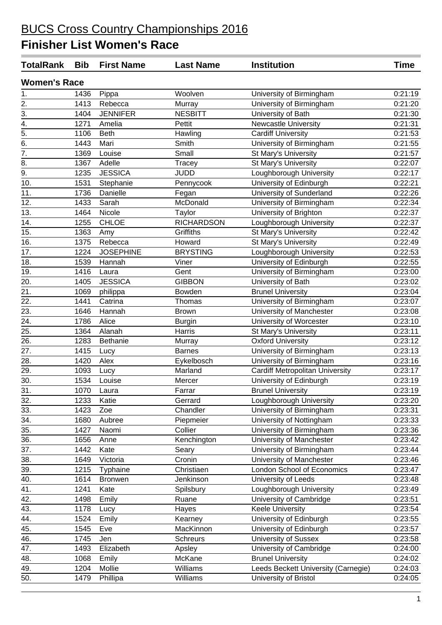| <b>TotalRank</b>    | <b>Bib</b> | <b>First Name</b> | <b>Last Name</b>  | <b>Institution</b>                     | <b>Time</b> |
|---------------------|------------|-------------------|-------------------|----------------------------------------|-------------|
| <b>Women's Race</b> |            |                   |                   |                                        |             |
| 1.                  | 1436       | Pippa             | Woolven           | University of Birmingham               | 0:21:19     |
| 2.                  | 1413       | Rebecca           | Murray            | University of Birmingham               | 0:21:20     |
| $\overline{3}$ .    | 1404       | <b>JENNIFER</b>   | <b>NESBITT</b>    | University of Bath                     | 0:21:30     |
| 4.                  | 1271       | Amelia            | Pettit            | <b>Newcastle University</b>            | 0:21:31     |
| $\overline{5}$ .    | 1106       | <b>Beth</b>       | Hawling           | <b>Cardiff University</b>              | 0:21:53     |
| $\overline{6}$ .    | 1443       | Mari              | Smith             | University of Birmingham               | 0:21:55     |
| $\overline{7}$ .    | 1369       | Louise            | Small             | St Mary's University                   | 0:21:57     |
| 8.                  | 1367       | Adelle            | Tracey            | St Mary's University                   | 0:22:07     |
| 9.                  | 1235       | <b>JESSICA</b>    | <b>JUDD</b>       | Loughborough University                | 0:22:17     |
| 10.                 | 1531       | Stephanie         | Pennycook         | University of Edinburgh                | 0:22:21     |
| 11.                 | 1736       | Danielle          | Fegan             | University of Sunderland               | 0:22:26     |
| 12.                 | 1433       | Sarah             | McDonald          | University of Birmingham               | 0:22:34     |
| 13.                 | 1464       | Nicole            | Taylor            | University of Brighton                 | 0:22:37     |
| 14.                 | 1255       | <b>CHLOE</b>      | <b>RICHARDSON</b> | Loughborough University                | 0:22:37     |
| 15.                 | 1363       | Amy               | Griffiths         | St Mary's University                   | 0:22:42     |
| 16.                 | 1375       | Rebecca           | Howard            | St Mary's University                   | 0:22:49     |
| 17.                 | 1224       | <b>JOSEPHINE</b>  | <b>BRYSTING</b>   | Loughborough University                | 0:22:53     |
| 18.                 | 1539       | Hannah            | Viner             | University of Edinburgh                | 0:22:55     |
| 19.                 | 1416       | Laura             | Gent              | University of Birmingham               | 0:23:00     |
| 20.                 | 1405       | <b>JESSICA</b>    | <b>GIBBON</b>     | University of Bath                     | 0:23:02     |
| 21.                 | 1069       | philippa          | Bowden            | <b>Brunel University</b>               | 0:23:04     |
| 22.                 | 1441       | Catrina           | Thomas            | University of Birmingham               | 0:23:07     |
| 23.                 | 1646       | Hannah            | <b>Brown</b>      | University of Manchester               | 0:23:08     |
| 24.                 | 1786       | Alice             | <b>Burgin</b>     | University of Worcester                | 0:23:10     |
| 25.                 | 1364       | Alanah            | Harris            | St Mary's University                   | 0:23:11     |
| 26.                 | 1283       | Bethanie          | Murray            | <b>Oxford University</b>               | 0:23:12     |
| 27.                 | 1415       | Lucy              | <b>Barnes</b>     | University of Birmingham               | 0:23:13     |
| 28.                 | 1420       | Alex              | Eykelbosch        | University of Birmingham               | 0:23:16     |
| 29.                 | 1093       | Lucy              | Marland           | <b>Cardiff Metropolitan University</b> | 0:23:17     |
| 30.                 | 1534       | Louise            | Mercer            | University of Edinburgh                | 0:23:19     |
| 31.                 | 1070       | Laura             | Farrar            | <b>Brunel University</b>               | 0:23:19     |
| 32.                 | 1233       | Katie             | Gerrard           | Loughborough University                | 0:23:20     |
| 33.                 | 1423       | Zoe               | Chandler          | University of Birmingham               | 0:23:31     |
| 34.                 | 1680       | Aubree            | Piepmeier         | University of Nottingham               | 0:23:33     |
| 35.                 | 1427       | Naomi             | Collier           | University of Birmingham               | 0:23:36     |
| 36.                 | 1656       | Anne              | Kenchington       | University of Manchester               | 0:23:42     |
| 37.                 | 1442       | Kate              | Seary             | University of Birmingham               | 0:23:44     |
| $\overline{38}$ .   | 1649       | Victoria          | Cronin            | University of Manchester               | 0:23:46     |
| 39.                 | 1215       | Typhaine          | Christiaen        | London School of Economics             | 0:23:47     |
| 40.                 | 1614       | <b>Bronwen</b>    | Jenkinson         | University of Leeds                    | 0:23:48     |
| 41.                 | 1241       | Kate              | Spilsbury         | Loughborough University                | 0:23:49     |
| 42.                 | 1498       | Emily             | Ruane             | University of Cambridge                | 0:23:51     |
| 43.                 | 1178       | Lucy              | Hayes             | <b>Keele University</b>                | 0:23:54     |
| 44.                 | 1524       | Emily             | Kearney           | University of Edinburgh                | 0:23:55     |
| 45.                 | 1545       | Eve               | MacKinnon         | University of Edinburgh                | 0:23:57     |
| 46.                 | 1745       | Jen               | <b>Schreurs</b>   | University of Sussex                   | 0:23:58     |
| 47.                 | 1493       | Elizabeth         | Apsley            | University of Cambridge                | 0:24:00     |
| 48.                 | 1068       | Emily             | McKane            | <b>Brunel University</b>               | 0:24:02     |
| 49.                 | 1204       | Mollie            | Williams          | Leeds Beckett University (Carnegie)    | 0:24:03     |
| 50.                 | 1479       | Phillipa          | Williams          | University of Bristol                  | 0:24:05     |
|                     |            |                   |                   |                                        |             |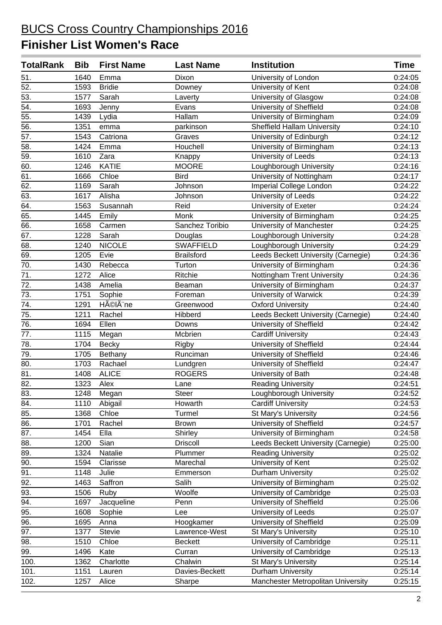| <b>TotalRank</b>  | <b>Bib</b> | <b>First Name</b> | <b>Last Name</b>  | <b>Institution</b>                  | <b>Time</b> |
|-------------------|------------|-------------------|-------------------|-------------------------------------|-------------|
| 51.               | 1640       | Emma              | Dixon             | University of London                | 0:24:05     |
| $\overline{52}$ . | 1593       | <b>Bridie</b>     | Downey            | University of Kent                  | 0:24:08     |
| 53.               | 1577       | Sarah             | Laverty           | University of Glasgow               | 0:24:08     |
| 54.               | 1693       | Jenny             | Evans             | University of Sheffield             | 0:24:08     |
| 55.               | 1439       | Lydia             | Hallam            | University of Birmingham            | 0:24:09     |
| 56.               | 1351       | emma              | parkinson         | <b>Sheffield Hallam University</b>  | 0:24:10     |
| 57.               | 1543       | Catriona          | Graves            | University of Edinburgh             | 0:24:12     |
| $\overline{58}$ . | 1424       | Emma              | Houchell          | University of Birmingham            | 0:24:13     |
| 59.               | 1610       | Zara              | Knappy            | University of Leeds                 | 0:24:13     |
| 60.               | 1246       | <b>KATIE</b>      | <b>MOORE</b>      | Loughborough University             | 0:24:16     |
| 61.               | 1666       | Chloe             | <b>Bird</b>       | University of Nottingham            | 0:24:17     |
| 62.               | 1169       | Sarah             | Johnson           | Imperial College London             | 0:24:22     |
| 63.               | 1617       | Alisha            | Johnson           | University of Leeds                 | 0:24:22     |
| 64.               | 1563       | Susannah          | Reid              | University of Exeter                | 0:24:24     |
| 65.               | 1445       | Emily             | Monk              | University of Birmingham            | 0:24:25     |
| 66.               | 1658       | Carmen            | Sanchez Toribio   | University of Manchester            | 0:24:25     |
| 67.               | 1228       | Sarah             | Douglas           | Loughborough University             | 0:24:28     |
| 68.               | 1240       | <b>NICOLE</b>     | <b>SWAFFIELD</b>  | Loughborough University             | 0:24:29     |
| 69.               | 1205       | Evie              | <b>Brailsford</b> | Leeds Beckett University (Carnegie) | 0:24:36     |
| $\overline{70}$ . | 1430       | Rebecca           | Turton            | University of Birmingham            | 0:24:36     |
| 71.               | 1272       | Alice             | Ritchie           | Nottingham Trent University         | 0:24:36     |
| 72.               | 1438       | Amelia            | Beaman            | University of Birmingham            | 0:24:37     |
| 73.               | 1751       | Sophie            | Foreman           | University of Warwick               | 0:24:39     |
| $\overline{74.}$  | 1291       | HéIène            | Greenwood         | <b>Oxford University</b>            | 0:24:40     |
| 75.               | 1211       | Rachel            | Hibberd           | Leeds Beckett University (Carnegie) | 0:24:40     |
| 76.               | 1694       | Ellen             | Downs             | University of Sheffield             | 0:24:42     |
| 77.               | 1115       | Megan             | Mcbrien           | <b>Cardiff University</b>           | 0:24:43     |
| $\overline{78}$ . | 1704       | <b>Becky</b>      | Rigby             | University of Sheffield             | 0:24:44     |
| 79.               | 1705       | Bethany           | Runciman          | University of Sheffield             | 0:24:46     |
| 80.               | 1703       | Rachael           | Lundgren          | University of Sheffield             | 0:24:47     |
| 81.               | 1408       | <b>ALICE</b>      | <b>ROGERS</b>     | University of Bath                  | 0:24:48     |
| 82.               | 1323       | Alex              | Lane              | <b>Reading University</b>           | 0:24:51     |
| 83.               | 1248       | Megan             | <b>Steer</b>      | Loughborough University             | 0:24:52     |
| 84.               | 1110       | Abigail           | Howarth           | <b>Cardiff University</b>           | 0:24:53     |
| 85.               | 1368       | Chloe             | Turmel            | St Mary's University                | 0:24:56     |
| 86.               | 1701       | Rachel            | <b>Brown</b>      | University of Sheffield             | 0:24:57     |
| 87.               | 1454       | Ella              | Shirley           | University of Birmingham            | 0:24:58     |
| 88.               | 1200       | Sian              | <b>Driscoll</b>   | Leeds Beckett University (Carnegie) | 0:25:00     |
| 89.               | 1324       | Natalie           | Plummer           | <b>Reading University</b>           | 0:25:02     |
| 90.               | 1594       | Clarisse          | Marechal          | University of Kent                  | 0:25:02     |
| 91.               | 1148       | Julie             | Emmerson          | Durham University                   | 0:25:02     |
| 92.               | 1463       | Saffron           | Salih             | University of Birmingham            | 0:25:02     |
| 93.               | 1506       | Ruby              | Woolfe            | University of Cambridge             | 0:25:03     |
| 94.               | 1697       | Jacqueline        | Penn              | University of Sheffield             | 0:25:06     |
| 95.               | 1608       | Sophie            | Lee               | University of Leeds                 | 0:25:07     |
| 96.               | 1695       | Anna              | Hoogkamer         | University of Sheffield             | 0:25:09     |
| 97.               | 1377       | Stevie            | Lawrence-West     | St Mary's University                | 0:25:10     |
| 98.               | 1510       | Chloe             | <b>Beckett</b>    | University of Cambridge             | 0:25:11     |
| 99.               | 1496       | Kate              | Curran            | University of Cambridge             | 0:25:13     |
| 100.              | 1362       | Charlotte         | Chalwin           | St Mary's University                | 0:25:14     |
| 101.              | 1151       | Lauren            | Davies-Beckett    | Durham University                   | 0:25:14     |
| 102.              | 1257       | Alice             | Sharpe            | Manchester Metropolitan University  | 0:25:15     |
|                   |            |                   |                   |                                     |             |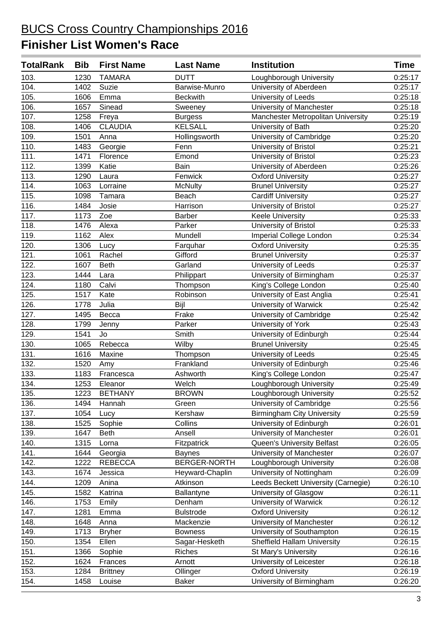| <b>TotalRank</b> | <b>Bib</b> | <b>First Name</b> | <b>Last Name</b> | <b>Institution</b>                  | <b>Time</b> |
|------------------|------------|-------------------|------------------|-------------------------------------|-------------|
| 103.             | 1230       | <b>TAMARA</b>     | <b>DUTT</b>      | Loughborough University             | 0:25:17     |
| 104.             | 1402       | Suzie             | Barwise-Munro    | University of Aberdeen              | 0:25:17     |
| 105.             | 1606       | Emma              | <b>Beckwith</b>  | University of Leeds                 | 0:25:18     |
| 106.             | 1657       | Sinead            | Sweeney          | University of Manchester            | 0:25:18     |
| 107.             | 1258       | Freya             | <b>Burgess</b>   | Manchester Metropolitan University  | 0:25:19     |
| 108.             | 1406       | <b>CLAUDIA</b>    | <b>KELSALL</b>   | University of Bath                  | 0:25:20     |
| 109.             | 1501       | Anna              | Hollingsworth    | University of Cambridge             | 0:25:20     |
| 110.             | 1483       | Georgie           | Fenn             | University of Bristol               | 0:25:21     |
| 111.             | 1471       | Florence          | Emond            | University of Bristol               | 0:25:23     |
| 112.             | 1399       | Katie             | Bain             | University of Aberdeen              | 0:25:26     |
| 113.             | 1290       | Laura             | Fenwick          | <b>Oxford University</b>            | 0:25:27     |
| 114.             | 1063       | Lorraine          | <b>McNulty</b>   | <b>Brunel University</b>            | 0:25:27     |
| 115.             | 1098       | Tamara            | Beach            | <b>Cardiff University</b>           | 0:25:27     |
| 116.             | 1484       | Josie             | Harrison         | University of Bristol               | 0:25:27     |
| 117.             | 1173       | Zoe               | <b>Barber</b>    | <b>Keele University</b>             | 0:25:33     |
| 118.             | 1476       | Alexa             | Parker           | University of Bristol               | 0:25:33     |
| 119.             | 1162       | Alex              | Mundell          | Imperial College London             | 0:25:34     |
| 120.             | 1306       | Lucy              | Farquhar         | <b>Oxford University</b>            | 0:25:35     |
| 121.             | 1061       | Rachel            | Gifford          | <b>Brunel University</b>            | 0:25:37     |
| 122.             | 1607       | <b>Beth</b>       | Garland          | University of Leeds                 | 0:25:37     |
| 123.             | 1444       | Lara              | Philippart       | University of Birmingham            | 0:25:37     |
| 124.             | 1180       | Calvi             | Thompson         | King's College London               | 0:25:40     |
| 125.             | 1517       | Kate              | Robinson         | University of East Anglia           | 0:25:41     |
| 126.             | 1778       | Julia             | Bijl             | University of Warwick               | 0:25:42     |
| 127.             | 1495       | Becca             | Frake            | University of Cambridge             | 0:25:42     |
| 128.             | 1799       | Jenny             | Parker           | University of York                  | 0:25:43     |
| 129.             | 1541       | Jo                | Smith            | University of Edinburgh             | 0:25:44     |
| 130.             | 1065       | Rebecca           | Wilby            | <b>Brunel University</b>            | 0:25:45     |
| 131.             | 1616       | Maxine            | Thompson         | University of Leeds                 | 0:25:45     |
| 132.             | 1520       | Amy               | Frankland        | University of Edinburgh             | 0:25:46     |
| 133.             | 1183       | Francesca         | Ashworth         | King's College London               | 0:25:47     |
| 134.             | 1253       | Eleanor           | Welch            | Loughborough University             | 0:25:49     |
| 135.             | 1223       | <b>BETHANY</b>    | <b>BROWN</b>     | Loughborough University             | 0:25:52     |
| 136.             | 1494       | Hannah            | Green            | University of Cambridge             | 0:25:56     |
| 137.             | 1054       | Lucy              | Kershaw          | <b>Birmingham City University</b>   | 0:25:59     |
| 138.             | 1525       | Sophie            | Collins          | University of Edinburgh             | 0:26:01     |
| 139.             | 1647       | <b>Beth</b>       | Ansell           | University of Manchester            | 0:26:01     |
| 140.             | 1315       | Lorna             | Fitzpatrick      | Queen's University Belfast          | 0:26:05     |
| 141.             | 1644       | Georgia           | <b>Baynes</b>    | University of Manchester            | 0:26:07     |
| 142.             | 1222       | <b>REBECCA</b>    | BERGER-NORTH     | Loughborough University             | 0:26:08     |
| 143.             | 1674       | Jessica           | Heyward-Chaplin  | University of Nottingham            | 0:26:09     |
| 144.             | 1209       | Anina             | Atkinson         | Leeds Beckett University (Carnegie) | 0:26:10     |
| 145.             | 1582       | Katrina           | Ballantyne       | University of Glasgow               | 0:26:11     |
| 146.             | 1753       | Emily             | Denham           | University of Warwick               | 0:26:12     |
| 147.             | 1281       | Emma              | <b>Bulstrode</b> | Oxford University                   | 0:26:12     |
| 148.             | 1648       | Anna              | Mackenzie        | University of Manchester            | 0:26:12     |
| 149.             | 1713       | <b>Bryher</b>     | <b>Bowness</b>   | University of Southampton           | 0:26:15     |
| 150.             | 1354       | Ellen             | Sagar-Hesketh    | <b>Sheffield Hallam University</b>  | 0:26:15     |
| 151.             | 1366       | Sophie            | <b>Riches</b>    | St Mary's University                | 0:26:16     |
| 152.             | 1624       | Frances           | Arnott           | University of Leicester             | 0:26:18     |
| 153.             | 1284       | <b>Brittney</b>   | Ollinger         | <b>Oxford University</b>            | 0:26:19     |
| 154.             | 1458       | Louise            | <b>Baker</b>     | University of Birmingham            | 0:26:20     |
|                  |            |                   |                  |                                     |             |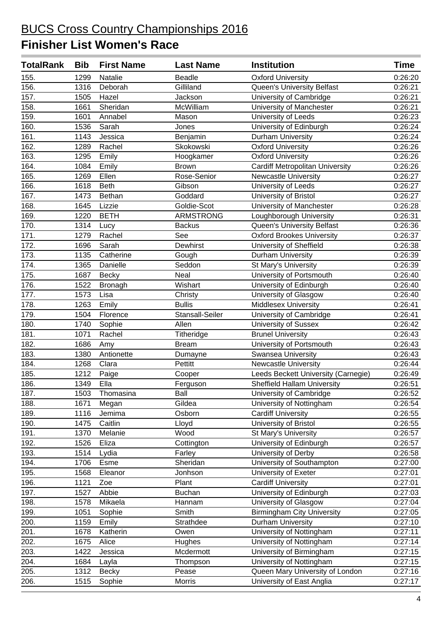| <b>TotalRank</b> | <b>Bib</b> | <b>First Name</b> | <b>Last Name</b> | <b>Institution</b>                     | <b>Time</b> |
|------------------|------------|-------------------|------------------|----------------------------------------|-------------|
| 155.             | 1299       | Natalie           | <b>Beadle</b>    | <b>Oxford University</b>               | 0:26:20     |
| 156.             | 1316       | Deborah           | Gilliland        | Queen's University Belfast             | 0:26:21     |
| 157.             | 1505       | Hazel             | Jackson          | University of Cambridge                | 0:26:21     |
| 158.             | 1661       | Sheridan          | McWilliam        | University of Manchester               | 0:26:21     |
| 159.             | 1601       | Annabel           | Mason            | University of Leeds                    | 0:26:23     |
| 160.             | 1536       | Sarah             | Jones            | University of Edinburgh                | 0:26:24     |
| 161.             | 1143       | Jessica           | Benjamin         | <b>Durham University</b>               | 0:26:24     |
| 162.             | 1289       | Rachel            | Skokowski        | <b>Oxford University</b>               | 0:26:26     |
| 163.             | 1295       | Emily             | Hoogkamer        | <b>Oxford University</b>               | 0:26:26     |
| 164.             | 1084       | Emily             | <b>Brown</b>     | <b>Cardiff Metropolitan University</b> | 0:26:26     |
| 165.             | 1269       | Ellen             | Rose-Senior      | Newcastle University                   | 0:26:27     |
| 166.             | 1618       | <b>Beth</b>       | Gibson           | University of Leeds                    | 0:26:27     |
| 167.             | 1473       | Bethan            | Goddard          | University of Bristol                  | 0:26:27     |
| 168.             | 1645       | Lizzie            | Goldie-Scot      | University of Manchester               | 0:26:28     |
| 169.             | 1220       | <b>BETH</b>       | <b>ARMSTRONG</b> | Loughborough University                | 0:26:31     |
| 170.             | 1314       | Lucy              | <b>Backus</b>    | Queen's University Belfast             | 0:26:36     |
| 171.             | 1279       | Rachel            | See              | <b>Oxford Brookes University</b>       | 0:26:37     |
| 172.             | 1696       | Sarah             | Dewhirst         | University of Sheffield                | 0:26:38     |
| 173.             | 1135       | Catherine         | Gough            | Durham University                      | 0:26:39     |
| 174.             | 1365       | Danielle          | Seddon           | St Mary's University                   | 0:26:39     |
| 175.             | 1687       | <b>Becky</b>      | Neal             | University of Portsmouth               | 0:26:40     |
| 176.             | 1522       | Bronagh           | Wishart          | University of Edinburgh                | 0:26:40     |
| 177.             | 1573       | Lisa              | Christy          | University of Glasgow                  | 0:26:40     |
| 178.             | 1263       | Emily             | <b>Bullis</b>    | Middlesex University                   | 0:26:41     |
| 179.             | 1504       | Florence          | Stansall-Seiler  | University of Cambridge                | 0:26:41     |
| 180.             | 1740       | Sophie            | Allen            | <b>University of Sussex</b>            | 0:26:42     |
| 181.             | 1071       | Rachel            | Titheridge       | <b>Brunel University</b>               | 0:26:43     |
| 182.             | 1686       | Amy               | <b>Bream</b>     | University of Portsmouth               | 0:26:43     |
| 183.             | 1380       | Antionette        | Dumayne          | Swansea University                     | 0:26:43     |
| 184.             | 1268       | Clara             | Pettitt          | <b>Newcastle University</b>            | 0:26:44     |
| 185.             | 1212       | Paige             | Cooper           | Leeds Beckett University (Carnegie)    | 0:26:49     |
| 186.             | 1349       | Ella              | Ferguson         | <b>Sheffield Hallam University</b>     | 0:26:51     |
| 187.             | 1503       | Thomasina         | Ball             | University of Cambridge                | 0:26:52     |
| 188.             | 1671       | Megan             | Gildea           | University of Nottingham               | 0:26:54     |
| 189.             | 1116       | Jemima            | Osborn           | <b>Cardiff University</b>              | 0:26:55     |
| 190.             | 1475       | Caitlin           | Lloyd            | University of Bristol                  | 0:26:55     |
| 191.             | 1370       | Melanie           | Wood             | St Mary's University                   | 0:26:57     |
| 192.             | 1526       | Eliza             | Cottington       | University of Edinburgh                | 0:26:57     |
| 193.             | 1514       | Lydia             | Farley           | University of Derby                    | 0:26:58     |
| 194.             | 1706       | Esme              | Sheridan         | University of Southampton              | 0:27:00     |
| 195.             | 1568       | Eleanor           | Jonhson          | University of Exeter                   | 0:27:01     |
| 196.             | 1121       | Zoe               | Plant            | <b>Cardiff University</b>              | 0:27:01     |
| 197.             | 1527       | Abbie             | <b>Buchan</b>    | University of Edinburgh                | 0:27:03     |
| 198.             | 1578       | Mikaela           | Hannam           | University of Glasgow                  | 0:27:04     |
| 199.             | 1051       | Sophie            | Smith            | <b>Birmingham City University</b>      | 0:27:05     |
| 200.             | 1159       | Emily             | Strathdee        | Durham University                      | 0:27:10     |
| 201.             | 1678       | Katherin          | Owen             | University of Nottingham               | 0:27:11     |
| 202.             | 1675       | Alice             | Hughes           | University of Nottingham               | 0:27:14     |
| 203.             | 1422       | Jessica           | Mcdermott        | University of Birmingham               | 0:27:15     |
| 204.             | 1684       | Layla             | Thompson         | University of Nottingham               | 0:27:15     |
| 205.             | 1312       | <b>Becky</b>      | Pease            | Queen Mary University of London        | 0:27:16     |
| 206.             | 1515       | Sophie            | Morris           | University of East Anglia              | 0:27:17     |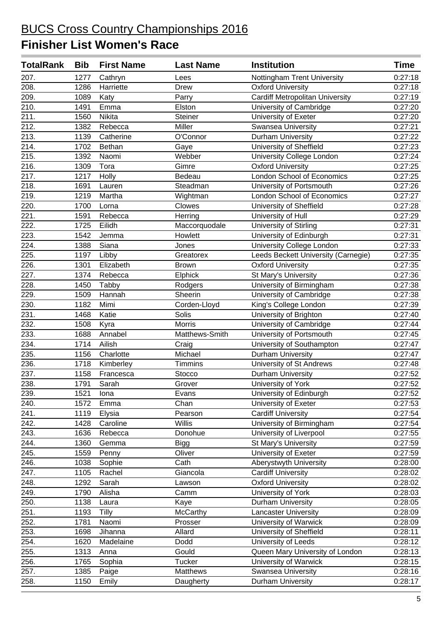| <b>TotalRank</b>  | <b>Bib</b> | <b>First Name</b> | <b>Last Name</b> | <b>Institution</b>                     | <b>Time</b> |
|-------------------|------------|-------------------|------------------|----------------------------------------|-------------|
| 207.              | 1277       | Cathryn           | Lees             | Nottingham Trent University            | 0:27:18     |
| 208.              | 1286       | Harriette         | Drew             | <b>Oxford University</b>               | 0:27:18     |
| 209.              | 1089       | Katy              | Parry            | <b>Cardiff Metropolitan University</b> | 0:27:19     |
| 210.              | 1491       | Emma              | Elston           | University of Cambridge                | 0:27:20     |
| 211.              | 1560       | Nikita            | Steiner          | University of Exeter                   | 0:27:20     |
| $\overline{212.}$ | 1382       | Rebecca           | Miller           | Swansea University                     | 0:27:21     |
| 213.              | 1139       | Catherine         | O'Connor         | Durham University                      | 0:27:22     |
| 214.              | 1702       | Bethan            | Gaye             | University of Sheffield                | 0:27:23     |
| 215.              | 1392       | Naomi             | Webber           | University College London              | 0:27:24     |
| 216.              | 1309       | Tora              | Gimre            | <b>Oxford University</b>               | 0:27:25     |
| 217.              | 1217       | Holly             | Bedeau           | <b>London School of Economics</b>      | 0:27:25     |
| 218.              | 1691       | Lauren            | Steadman         | University of Portsmouth               | 0:27:26     |
| 219.              | 1219       | Martha            | Wightman         | London School of Economics             | 0:27:27     |
| 220.              | 1700       | Lorna             | Clowes           | University of Sheffield                | 0:27:28     |
| 221.              | 1591       | Rebecca           | Herring          | University of Hull                     | 0:27:29     |
| 222.              | 1725       | Eilidh            | Maccorquodale    | University of Stirling                 | 0:27:31     |
| 223.              | 1542       | Jemma             | Howlett          | University of Edinburgh                | 0:27:31     |
| 224.              | 1388       | Siana             | Jones            | University College London              | 0:27:33     |
| 225.              | 1197       | Libby             | Greatorex        | Leeds Beckett University (Carnegie)    | 0:27:35     |
| 226.              | 1301       | Elizabeth         | <b>Brown</b>     | <b>Oxford University</b>               | 0:27:35     |
| 227.              | 1374       | Rebecca           | Elphick          | St Mary's University                   | 0:27:36     |
| 228.              | 1450       | Tabby             | Rodgers          | University of Birmingham               | 0:27:38     |
| 229.              | 1509       | Hannah            | Sheerin          | University of Cambridge                | 0:27:38     |
| 230.              | 1182       | Mimi              | Corden-Lloyd     | King's College London                  | 0:27:39     |
| 231.              | 1468       | Katie             | Solis            | University of Brighton                 | 0:27:40     |
| 232.              | 1508       | Kyra              | Morris           | University of Cambridge                | 0:27:44     |
| 233.              | 1688       | Annabel           | Matthews-Smith   | University of Portsmouth               | 0:27:45     |
| 234.              | 1714       | Ailish            | Craig            | University of Southampton              | 0:27:47     |
| 235.              | 1156       | Charlotte         | Michael          | Durham University                      | 0:27:47     |
| 236.              | 1718       | Kimberley         | Timmins          | University of St Andrews               | 0:27:48     |
| 237.              | 1158       | Francesca         | Stocco           | Durham University                      | 0:27:52     |
| 238.              | 1791       | Sarah             | Grover           | University of York                     | 0:27:52     |
| 239.              | 1521       | Iona              | Evans            | University of Edinburgh                | 0:27:52     |
| 240.              | 1572       | Emma              | Chan             | University of Exeter                   | 0:27:53     |
| 241.              | 1119       | Elysia            | Pearson          | <b>Cardiff University</b>              | 0:27:54     |
| 242.              | 1428       | Caroline          | Willis           | University of Birmingham               | 0:27:54     |
| 243.              | 1636       | Rebecca           | Donohue          | University of Liverpool                | 0:27:55     |
| 244.              | 1360       | Gemma             | <b>Bigg</b>      | St Mary's University                   | 0:27:59     |
| 245.              | 1559       | Penny             | Oliver           | University of Exeter                   | 0:27:59     |
| 246.              | 1038       | Sophie            | Cath             | Aberystwyth University                 | 0:28:00     |
| 247.              | 1105       | Rachel            | Giancola         | <b>Cardiff University</b>              | 0:28:02     |
| 248.              | 1292       | Sarah             | Lawson           | <b>Oxford University</b>               | 0:28:02     |
| 249.              | 1790       | Alisha            | Camm             | University of York                     | 0:28:03     |
| 250.              | 1138       | Laura             | Kaye             | Durham University                      | 0:28:05     |
| 251.              | 1193       | Tilly             | McCarthy         | <b>Lancaster University</b>            | 0:28:09     |
| 252.              | 1781       | Naomi             | Prosser          | University of Warwick                  | 0:28:09     |
| 253.              | 1698       | Jihanna           | Allard           | University of Sheffield                | 0:28:11     |
| 254.              | 1620       | Madelaine         | Dodd             | University of Leeds                    | 0:28:12     |
| 255.              | 1313       | Anna              | Gould            | Queen Mary University of London        | 0:28:13     |
| 256.              | 1765       | Sophia            | <b>Tucker</b>    | University of Warwick                  | 0:28:15     |
| 257.              | 1385       | Paige             | Matthews         | Swansea University                     | 0:28:16     |
| 258.              | 1150       | Emily             | Daugherty        | Durham University                      | 0:28:17     |
|                   |            |                   |                  |                                        |             |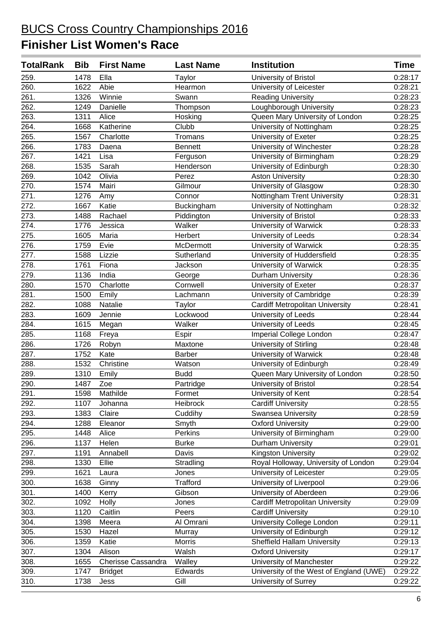| <b>TotalRank</b> | <b>Bib</b> | <b>First Name</b>  | <b>Last Name</b> | <b>Institution</b>                      | <b>Time</b> |
|------------------|------------|--------------------|------------------|-----------------------------------------|-------------|
| 259.             | 1478       | Ella               | Taylor           | University of Bristol                   | 0:28:17     |
| 260.             | 1622       | Abie               | Hearmon          | University of Leicester                 | 0:28:21     |
| 261.             | 1326       | Winnie             | Swann            | <b>Reading University</b>               | 0:28:23     |
| 262.             | 1249       | Danielle           | Thompson         | Loughborough University                 | 0:28:23     |
| 263.             | 1311       | Alice              | Hosking          | Queen Mary University of London         | 0:28:25     |
| 264.             | 1668       | Katherine          | Clubb            | University of Nottingham                | 0:28:25     |
| 265.             | 1567       | Charlotte          | Tromans          | University of Exeter                    | 0:28:25     |
| 266.             | 1783       | Daena              | <b>Bennett</b>   | University of Winchester                | 0:28:28     |
| 267.             | 1421       | Lisa               | Ferguson         | University of Birmingham                | 0:28:29     |
| 268.             | 1535       | Sarah              | Henderson        | University of Edinburgh                 | 0:28:30     |
| 269.             | 1042       | Olivia             | Perez            | <b>Aston University</b>                 | 0:28:30     |
| 270.             | 1574       | Mairi              | Gilmour          | University of Glasgow                   | 0:28:30     |
| 271.             | 1276       | Amy                | Connor           | Nottingham Trent University             | 0:28:31     |
| 272.             | 1667       | Katie              | Buckingham       | University of Nottingham                | 0:28:32     |
| 273.             | 1488       | Rachael            | Piddington       | University of Bristol                   | 0:28:33     |
| 274.             | 1776       | Jessica            | Walker           | University of Warwick                   | 0:28:33     |
| 275.             | 1605       | Maria              | Herbert          | University of Leeds                     | 0:28:34     |
| 276.             | 1759       | Evie               | McDermott        | University of Warwick                   | 0:28:35     |
| 277.             | 1588       | Lizzie             | Sutherland       | University of Huddersfield              | 0:28:35     |
| 278.             | 1761       | Fiona              | Jackson          | University of Warwick                   | 0:28:35     |
| 279.             | 1136       | India              | George           | Durham University                       | 0:28:36     |
| 280.             | 1570       | Charlotte          | Cornwell         | University of Exeter                    | 0:28:37     |
| 281.             | 1500       | Emily              | Lachmann         | University of Cambridge                 | 0:28:39     |
| 282.             | 1088       | Natalie            | Taylor           | <b>Cardiff Metropolitan University</b>  | 0:28:41     |
| 283.             | 1609       | Jennie             | Lockwood         | University of Leeds                     | 0:28:44     |
| 284.             | 1615       | Megan              | Walker           | University of Leeds                     | 0:28:45     |
| 285.             | 1168       | Freya              | Espir            | Imperial College London                 | 0:28:47     |
| 286.             | 1726       | Robyn              | Maxtone          | University of Stirling                  | 0:28:48     |
| 287.             | 1752       | Kate               | <b>Barber</b>    | University of Warwick                   | 0:28:48     |
| 288.             | 1532       | Christine          | Watson           | University of Edinburgh                 | 0:28:49     |
| 289.             | 1310       | Emily              | <b>Budd</b>      | Queen Mary University of London         | 0:28:50     |
| 290.             | 1487       | Zoe                | Partridge        | University of Bristol                   | 0:28:54     |
| 291.             |            | 1598 Mathilde      | Formet           | University of Kent                      | 0:28:54     |
| 292.             | 1107       | Johanna            | Heibrock         | <b>Cardiff University</b>               | 0:28:55     |
| 293.             | 1383       | Claire             | Cuddihy          | <b>Swansea University</b>               | 0:28:59     |
| 294.             | 1288       | Eleanor            | Smyth            | <b>Oxford University</b>                | 0:29:00     |
| 295.             | 1448       | Alice              | Perkins          | University of Birmingham                | 0:29:00     |
| 296.             | 1137       | Helen              | <b>Burke</b>     | Durham University                       | 0:29:01     |
| 297.             | 1191       | Annabell           | Davis            | <b>Kingston University</b>              | 0:29:02     |
| 298.             | 1330       | Ellie              | Stradling        | Royal Holloway, University of London    | 0:29:04     |
| 299.             | 1621       | Laura              | Jones            | University of Leicester                 | 0:29:05     |
| 300.             | 1638       | Ginny              | <b>Trafford</b>  | University of Liverpool                 | 0:29:06     |
| 301.             | 1400       | Kerry              | Gibson           | University of Aberdeen                  | 0:29:06     |
| 302.             | 1092       | Holly              | Jones            | <b>Cardiff Metropolitan University</b>  | 0:29:09     |
| 303.             | 1120       | Caitlin            | Peers            | <b>Cardiff University</b>               | 0:29:10     |
| 304.             | 1398       | Meera              | Al Omrani        | University College London               | 0:29:11     |
| 305.             | 1530       | Hazel              | Murray           | University of Edinburgh                 | 0:29:12     |
| 306.             | 1359       | Katie              | <b>Morris</b>    | <b>Sheffield Hallam University</b>      | 0:29:13     |
| 307.             | 1304       | Alison             | Walsh            | <b>Oxford University</b>                | 0:29:17     |
| 308.             | 1655       | Cherisse Cassandra | Walley           | University of Manchester                | 0:29:22     |
| 309.             | 1747       | <b>Bridget</b>     | Edwards          | University of the West of England (UWE) | 0:29:22     |
| 310.             | 1738       | Jess               | Gill             | University of Surrey                    | 0:29:22     |
|                  |            |                    |                  |                                         |             |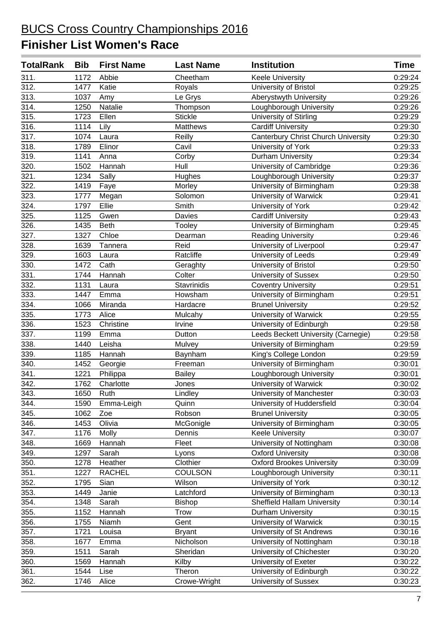| <b>TotalRank</b>   | <b>Bib</b> | <b>First Name</b> | <b>Last Name</b> | <b>Institution</b>                         | Time    |
|--------------------|------------|-------------------|------------------|--------------------------------------------|---------|
| 311.               | 1172       | Abbie             | Cheetham         | <b>Keele University</b>                    | 0:29:24 |
| 312.               | 1477       | Katie             | Royals           | University of Bristol                      | 0:29:25 |
| 313.               | 1037       | Amy               | Le Grys          | Aberystwyth University                     | 0:29:26 |
| 314.               | 1250       | Natalie           | Thompson         | Loughborough University                    | 0:29:26 |
| 315.               | 1723       | Ellen             | <b>Stickle</b>   | University of Stirling                     | 0:29:29 |
| 316.               | 1114       | Lily              | Matthews         | <b>Cardiff University</b>                  | 0:29:30 |
| 317.               | 1074       | Laura             | Reilly           | <b>Canterbury Christ Church University</b> | 0:29:30 |
| 318.               | 1789       | Elinor            | Cavil            | University of York                         | 0:29:33 |
| 319.               | 1141       | Anna              | Corby            | Durham University                          | 0:29:34 |
| 320.               | 1502       | Hannah            | Hull             | University of Cambridge                    | 0:29:36 |
| 321.               | 1234       | Sally             | Hughes           | Loughborough University                    | 0:29:37 |
| 322.               | 1419       | Faye              | Morley           | University of Birmingham                   | 0:29:38 |
| 323.               | 1777       | Megan             | Solomon          | University of Warwick                      | 0:29:41 |
| 324.               | 1797       | Ellie             | Smith            | University of York                         | 0:29:42 |
| 325.               | 1125       | Gwen              | Davies           | <b>Cardiff University</b>                  | 0:29:43 |
| 326.               | 1435       | <b>Beth</b>       | Tooley           | University of Birmingham                   | 0:29:45 |
| 327.               | 1327       | Chloe             | Dearman          | <b>Reading University</b>                  | 0:29:46 |
| 328.               | 1639       | Tannera           | Reid             | University of Liverpool                    | 0:29:47 |
| 329.               | 1603       | Laura             | Ratcliffe        | University of Leeds                        | 0:29:49 |
| 330.               | 1472       | Cath              | Geraghty         | University of Bristol                      | 0:29:50 |
| 331.               | 1744       | Hannah            | Colter           | University of Sussex                       | 0:29:50 |
| 332.               | 1131       | Laura             | Stavrinidis      | <b>Coventry University</b>                 | 0:29:51 |
| 333.               | 1447       | Emma              | Howsham          | University of Birmingham                   | 0:29:51 |
| 334.               | 1066       | Miranda           | Hardacre         | <b>Brunel University</b>                   | 0:29:52 |
| 335.               | 1773       | Alice             | Mulcahy          | University of Warwick                      | 0:29:55 |
| 336.               | 1523       | Christine         | Irvine           | University of Edinburgh                    | 0:29:58 |
| 337.               | 1199       | Emma              | Dutton           | Leeds Beckett University (Carnegie)        | 0:29:58 |
| 338.               | 1440       | Leisha            | Mulvey           | University of Birmingham                   | 0:29:59 |
| 339.               | 1185       | Hannah            | Baynham          | King's College London                      | 0:29:59 |
| 340.               | 1452       | Georgie           | Freeman          | University of Birmingham                   | 0:30:01 |
| 341.               | 1221       | Philippa          | <b>Bailey</b>    | Loughborough University                    | 0:30:01 |
| 342.               | 1762       | Charlotte         | Jones            | University of Warwick                      | 0:30:02 |
| $\overline{343}$ . | 1650       | Ruth              | Lindley          | University of Manchester                   | 0:30:03 |
| 344.               | 1590       | Emma-Leigh        | Quinn            | University of Huddersfield                 | 0:30:04 |
| 345.               | 1062       | Zoe               | Robson           | <b>Brunel University</b>                   | 0:30:05 |
| 346.               | 1453       | Olivia            | McGonigle        | University of Birmingham                   | 0:30:05 |
| 347.               | 1176       | Molly             | Dennis           | <b>Keele University</b>                    | 0:30:07 |
| 348.               | 1669       | Hannah            | Fleet            | University of Nottingham                   | 0:30:08 |
| 349.               | 1297       | Sarah             | Lyons            | <b>Oxford University</b>                   | 0:30:08 |
| 350.               | 1278       | Heather           | Clothier         | Oxford Brookes University                  | 0:30:09 |
| 351.               | 1227       | <b>RACHEL</b>     | <b>COULSON</b>   | Loughborough University                    | 0:30:11 |
| 352.               | 1795       | Sian              | Wilson           | University of York                         | 0:30:12 |
| 353.               | 1449       | Janie             | Latchford        | University of Birmingham                   | 0:30:13 |
| 354.               | 1348       | Sarah             | <b>Bishop</b>    | <b>Sheffield Hallam University</b>         | 0:30:14 |
| 355.               | 1152       | Hannah            | <b>Trow</b>      | Durham University                          | 0:30:15 |
| $356$ .            | 1755       | Niamh             | Gent             | University of Warwick                      | 0:30:15 |
| 357.               | 1721       | Louisa            | <b>Bryant</b>    | University of St Andrews                   | 0:30:16 |
| 358.               | 1677       | Emma              | Nicholson        | University of Nottingham                   | 0:30:18 |
| 359.               | 1511       | Sarah             | Sheridan         | University of Chichester                   | 0:30:20 |
| 360.               | 1569       | Hannah            | Kilby            | University of Exeter                       | 0:30:22 |
| 361.               | 1544       | Lise              | Theron           | University of Edinburgh                    | 0:30:22 |
| 362.               | 1746       | Alice             | Crowe-Wright     | University of Sussex                       | 0:30:23 |
|                    |            |                   |                  |                                            |         |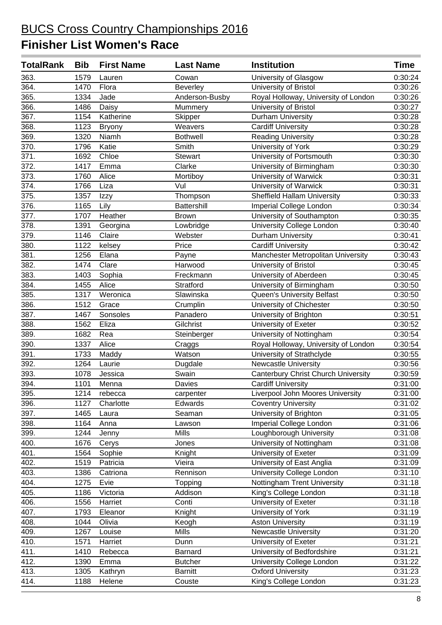| <b>TotalRank</b> | <b>Bib</b> | <b>First Name</b> | <b>Last Name</b> | <b>Institution</b>                         | <b>Time</b> |
|------------------|------------|-------------------|------------------|--------------------------------------------|-------------|
| 363.             | 1579       | Lauren            | Cowan            | University of Glasgow                      | 0:30:24     |
| 364.             | 1470       | Flora             | Beverley         | University of Bristol                      | 0:30:26     |
| 365.             | 1334       | Jade              | Anderson-Busby   | Royal Holloway, University of London       | 0:30:26     |
| 366.             | 1486       | Daisy             | Mummery          | University of Bristol                      | 0:30:27     |
| 367.             | 1154       | Katherine         | Skipper          | Durham University                          | 0:30:28     |
| 368.             | 1123       | <b>Bryony</b>     | Weavers          | <b>Cardiff University</b>                  | 0:30:28     |
| 369.             | 1320       | Niamh             | <b>Bothwell</b>  | <b>Reading University</b>                  | 0:30:28     |
| 370.             | 1796       | Katie             | Smith            | University of York                         | 0:30:29     |
| 371.             | 1692       | Chloe             | Stewart          | University of Portsmouth                   | 0:30:30     |
| 372.             | 1417       | Emma              | Clarke           | University of Birmingham                   | 0:30:30     |
| 373.             | 1760       | Alice             | Mortiboy         | University of Warwick                      | 0:30:31     |
| 374.             | 1766       | Liza              | Vul              | University of Warwick                      | 0:30:31     |
| 375.             | 1357       | Izzy              | Thompson         | Sheffield Hallam University                | 0:30:33     |
| 376.             | 1165       | Lily              | Battershill      | Imperial College London                    | 0:30:34     |
| 377.             | 1707       | Heather           | <b>Brown</b>     | University of Southampton                  | 0:30:35     |
| 378.             | 1391       | Georgina          | Lowbridge        | University College London                  | 0:30:40     |
| 379.             | 1146       | Claire            | Webster          | Durham University                          | 0:30:41     |
| 380.             | 1122       | kelsey            | Price            | <b>Cardiff University</b>                  | 0:30:42     |
| 381.             | 1256       | Elana             | Payne            | Manchester Metropolitan University         | 0:30:43     |
| 382.             | 1474       | Clare             | Harwood          | University of Bristol                      | 0:30:45     |
| 383.             | 1403       | Sophia            | Freckmann        | University of Aberdeen                     | 0:30:45     |
| 384.             | 1455       | Alice             | Stratford        | University of Birmingham                   | 0:30:50     |
| 385.             | 1317       | Weronica          | Slawinska        | Queen's University Belfast                 | 0:30:50     |
| 386.             | 1512       | Grace             | Crumplin         | University of Chichester                   | 0:30:50     |
| 387.             | 1467       | Sonsoles          | Panadero         | University of Brighton                     | 0:30:51     |
| 388.             | 1562       | Eliza             | Gilchrist        | University of Exeter                       | 0:30:52     |
| 389.             | 1682       | Rea               | Steinberger      | University of Nottingham                   | 0:30:54     |
| 390.             | 1337       | Alice             | Craggs           | Royal Holloway, University of London       | 0:30:54     |
| 391.             | 1733       | Maddy             | Watson           | University of Strathclyde                  | 0:30:55     |
| 392.             | 1264       | Laurie            | Dugdale          | Newcastle University                       | 0:30:56     |
| 393.             | 1078       | Jessica           | Swain            | <b>Canterbury Christ Church University</b> | 0:30:59     |
| 394.             | 1101       | Menna             | Davies           | <b>Cardiff University</b>                  | 0:31:00     |
| 395.             |            | 1214 rebecca      | carpenter        | Liverpool John Moores University           | 0:31:00     |
| 396.             | 1127       | Charlotte         | Edwards          | <b>Coventry University</b>                 | 0:31:02     |
| 397.             | 1465       | Laura             | Seaman           | University of Brighton                     | 0:31:05     |
| 398.             | 1164       | Anna              | Lawson           | Imperial College London                    | 0:31:06     |
| 399.             | 1244       | Jenny             | Mills            | Loughborough University                    | 0:31:08     |
| 400.             | 1676       | Cerys             | Jones            | University of Nottingham                   | 0:31:08     |
| 401.             | 1564       | Sophie            | Knight           | University of Exeter                       | 0:31:09     |
| 402.             | 1519       | Patricia          | Vieira           | University of East Anglia                  | 0:31:09     |
| 403.             | 1386       | Catriona          | Rennison         | University College London                  | 0:31:10     |
| 404.             | 1275       | Evie              | Topping          | Nottingham Trent University                | 0:31:18     |
| 405.             | 1186       | Victoria          | Addison          | King's College London                      | 0:31:18     |
| 406.             | 1556       | Harriet           | Conti            | University of Exeter                       | 0:31:18     |
| 407.             | 1793       | Eleanor           | Knight           | University of York                         | 0:31:19     |
| 408.             | 1044       | Olivia            | Keogh            | <b>Aston University</b>                    | 0:31:19     |
| 409.             | 1267       | Louise            | Mills            | <b>Newcastle University</b>                | 0:31:20     |
| 410.             | 1571       | Harriet           | Dunn             | University of Exeter                       | 0:31:21     |
| 411.             | 1410       | Rebecca           | Barnard          | University of Bedfordshire                 | 0:31:21     |
| 412.             | 1390       | Emma              | <b>Butcher</b>   | University College London                  | 0:31:22     |
| 413.             | 1305       | Kathryn           | <b>Barnitt</b>   | <b>Oxford University</b>                   | 0:31:23     |
| 414.             | 1188       | Helene            | Couste           | King's College London                      | 0:31:23     |
|                  |            |                   |                  |                                            |             |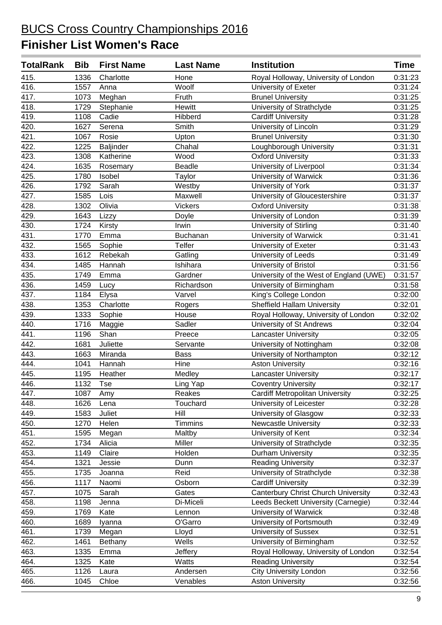| <b>TotalRank</b> | <b>Bib</b> | <b>First Name</b> | <b>Last Name</b> | <b>Institution</b>                      | <b>Time</b> |
|------------------|------------|-------------------|------------------|-----------------------------------------|-------------|
| 415.             | 1336       | Charlotte         | Hone             | Royal Holloway, University of London    | 0:31:23     |
| 416.             | 1557       | Anna              | Woolf            | University of Exeter                    | 0:31:24     |
| 417.             | 1073       | Meghan            | Fruth            | <b>Brunel University</b>                | 0:31:25     |
| 418.             | 1729       | Stephanie         | Hewitt           | University of Strathclyde               | 0:31:25     |
| 419.             | 1108       | Cadie             | Hibberd          | <b>Cardiff University</b>               | 0:31:28     |
| 420.             | 1627       | Serena            | Smith            | University of Lincoln                   | 0:31:29     |
| 421.             | 1067       | Rosie             | Upton            | <b>Brunel University</b>                | 0:31:30     |
| 422.             | 1225       | Baljinder         | Chahal           | Loughborough University                 | 0:31:31     |
| 423.             | 1308       | Katherine         | Wood             | <b>Oxford University</b>                | 0:31:33     |
| 424.             | 1635       | Rosemary          | <b>Beadle</b>    | University of Liverpool                 | 0:31:34     |
| 425.             | 1780       | Isobel            | Taylor           | University of Warwick                   | 0:31:36     |
| 426.             | 1792       | Sarah             | Westby           | University of York                      | 0:31:37     |
| 427.             | 1585       | Lois              | Maxwell          | University of Gloucestershire           | 0:31:37     |
| 428.             | 1302       | Olivia            | <b>Vickers</b>   | <b>Oxford University</b>                | 0:31:38     |
| 429.             | 1643       | Lizzy             | Doyle            | University of London                    | 0:31:39     |
| 430.             | 1724       | Kirsty            | Irwin            | University of Stirling                  | 0:31:40     |
| 431.             | 1770       | Emma              | Buchanan         | University of Warwick                   | 0:31:41     |
| 432.             | 1565       | Sophie            | Telfer           | University of Exeter                    | 0:31:43     |
| 433.             | 1612       | Rebekah           | Gatling          | University of Leeds                     | 0:31:49     |
| 434.             | 1485       | Hannah            | Ishihara         | University of Bristol                   | 0:31:56     |
| 435.             | 1749       | Emma              | Gardner          | University of the West of England (UWE) | 0:31:57     |
| 436.             | 1459       | Lucy              | Richardson       | University of Birmingham                | 0:31:58     |
| 437.             | 1184       | Elysa             | Varvel           | King's College London                   | 0:32:00     |
| 438.             | 1353       | Charlotte         | Rogers           | <b>Sheffield Hallam University</b>      | 0:32:01     |
| 439.             | 1333       | Sophie            | House            | Royal Holloway, University of London    | 0:32:02     |
| 440.             | 1716       | Maggie            | Sadler           | University of St Andrews                | 0:32:04     |
| 441.             | 1196       | Shan              | Preece           | <b>Lancaster University</b>             | 0:32:05     |
| 442.             | 1681       | Juliette          | Servante         | University of Nottingham                | 0:32:08     |
| 443.             | 1663       | Miranda           | <b>Bass</b>      | University of Northampton               | 0:32:12     |
| 444.             | 1041       | Hannah            | Hine             | <b>Aston University</b>                 | 0:32:16     |
| 445.             | 1195       | Heather           | Medley           | <b>Lancaster University</b>             | 0:32:17     |
| 446.             | 1132       | Tse               | Ling Yap         | <b>Coventry University</b>              | 0:32:17     |
| 447.             | 1087       | Amy               | Reakes           | <b>Cardiff Metropolitan University</b>  | 0:32:25     |
| 448.             | 1626       | Lena              | Touchard         | University of Leicester                 | 0:32:28     |
| 449.             | 1583       | Juliet            | Hill             | University of Glasgow                   | 0:32:33     |
| 450.             | 1270       | Helen             | Timmins          | <b>Newcastle University</b>             | 0:32:33     |
| 451.             | 1595       | Megan             | Maltby           | University of Kent                      | 0:32:34     |
| 452.             | 1734       | Alicia            | Miller           | University of Strathclyde               | 0:32:35     |
| 453.             | 1149       | Claire            | Holden           | Durham University                       | 0:32:35     |
| 454.             | 1321       | Jessie            | Dunn             | <b>Reading University</b>               | 0:32:37     |
| 455.             | 1735       | Joanna            | Reid             | University of Strathclyde               | 0:32:38     |
| 456.             | 1117       | Naomi             | Osborn           | <b>Cardiff University</b>               | 0:32:39     |
| 457.             | 1075       | Sarah             | Gates            | Canterbury Christ Church University     | 0:32:43     |
| 458.             | 1198       | Jenna             | Di-Miceli        | Leeds Beckett University (Carnegie)     | 0:32:44     |
| 459.             | 1769       | Kate              | Lennon           | University of Warwick                   | 0:32:48     |
| 460.             | 1689       | Iyanna            | O'Garro          | University of Portsmouth                | 0:32:49     |
| 461.             | 1739       | Megan             | Lloyd            | <b>University of Sussex</b>             | 0:32:51     |
| 462.             | 1461       | Bethany           | Wells            | University of Birmingham                | 0:32:52     |
| 463.             | 1335       | Emma              | Jeffery          | Royal Holloway, University of London    | 0:32:54     |
| 464.             | 1325       | Kate              | Watts            | <b>Reading University</b>               | 0:32:54     |
| 465.             | 1126       | Laura             | Andersen         | <b>City University London</b>           | 0:32:56     |
| 466.             | 1045       | Chloe             | Venables         | <b>Aston University</b>                 | 0:32:56     |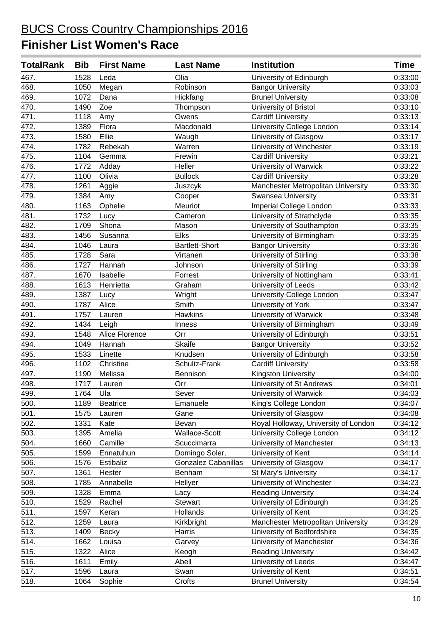| <b>TotalRank</b> | <b>Bib</b> | <b>First Name</b> | <b>Last Name</b>           | <b>Institution</b>                   | Time    |
|------------------|------------|-------------------|----------------------------|--------------------------------------|---------|
| 467.             | 1528       | Leda              | Olia                       | University of Edinburgh              | 0:33:00 |
| 468.             | 1050       | Megan             | Robinson                   | <b>Bangor University</b>             | 0:33:03 |
| 469.             | 1072       | Dana              | Hickfang                   | <b>Brunel University</b>             | 0:33:08 |
| 470.             | 1490       | Zoe               | Thompson                   | University of Bristol                | 0:33:10 |
| 471.             | 1118       | Amy               | Owens                      | <b>Cardiff University</b>            | 0:33:13 |
| 472.             | 1389       | Flora             | Macdonald                  | University College London            | 0:33:14 |
| 473.             | 1580       | Ellie             | Waugh                      | University of Glasgow                | 0:33:17 |
| 474.             | 1782       | Rebekah           | Warren                     | University of Winchester             | 0:33:19 |
| 475.             | 1104       | Gemma             | Frewin                     | <b>Cardiff University</b>            | 0:33:21 |
| 476.             | 1772       | Adday             | Heller                     | University of Warwick                | 0:33:22 |
| 477.             | 1100       | Olivia            | <b>Bullock</b>             | <b>Cardiff University</b>            | 0:33:28 |
| 478.             | 1261       | Aggie             | Juszcyk                    | Manchester Metropolitan University   | 0:33:30 |
| 479.             | 1384       | Amy               | Cooper                     | Swansea University                   | 0:33:31 |
| 480.             | 1163       | Ophelie           | Meuriot                    | Imperial College London              | 0:33:33 |
| 481.             | 1732       | Lucy              | Cameron                    | University of Strathclyde            | 0:33:35 |
| 482.             | 1709       | Shona             | Mason                      | University of Southampton            | 0:33:35 |
| 483.             | 1456       | Susanna           | Elks                       | University of Birmingham             | 0:33:35 |
| 484.             | 1046       | Laura             | <b>Bartlett-Short</b>      | <b>Bangor University</b>             | 0:33:36 |
| 485.             | 1728       | Sara              | Virtanen                   | University of Stirling               | 0:33:38 |
| 486.             | 1727       | Hannah            | Johnson                    | University of Stirling               | 0:33:39 |
| 487.             | 1670       | Isabelle          | Forrest                    | University of Nottingham             | 0:33:41 |
| 488.             | 1613       | Henrietta         | Graham                     | University of Leeds                  | 0:33:42 |
| 489.             | 1387       | Lucy              | Wright                     | University College London            | 0:33:47 |
| 490.             | 1787       | Alice             | Smith                      | University of York                   | 0:33:47 |
| 491.             | 1757       | Lauren            | Hawkins                    | University of Warwick                | 0:33:48 |
| 492.             | 1434       | Leigh             | Inness                     | University of Birmingham             | 0:33:49 |
| 493.             | 1548       | Alice Florence    | Orr                        | University of Edinburgh              | 0:33:51 |
| 494.             | 1049       | Hannah            | <b>Skaife</b>              | <b>Bangor University</b>             | 0:33:52 |
| 495.             | 1533       | Linette           | Knudsen                    | University of Edinburgh              | 0:33:58 |
| 496.             | 1102       | Christine         | Schultz-Frank              | <b>Cardiff University</b>            | 0:33:58 |
| 497.             | 1190       | Melissa           | Bennison                   | Kingston University                  | 0:34:00 |
| 498.             | 1717       | Lauren            | Orr                        | University of St Andrews             | 0:34:01 |
| 499.             | 1764       | Ula               | Sever                      | University of Warwick                | 0:34:03 |
| 500.             | 1189       | <b>Beatrice</b>   | Emanuele                   | King's College London                | 0:34:07 |
| 501.             | 1575       | Lauren            | Gane                       | University of Glasgow                | 0:34:08 |
| 502.             | 1331       | Kate              | Bevan                      | Royal Holloway, University of London | 0:34:12 |
| 503.             | 1395       | Amelia            | Wallace-Scott              | University College London            | 0:34:12 |
| 504.             | 1660       | Camille           | Scuccimarra                | University of Manchester             | 0:34:13 |
| 505.             | 1599       | Ennatuhun         | Domingo Soler,             | University of Kent                   | 0:34:14 |
| 506.             | 1576       | Estibaliz         | <b>Gonzalez Cabanillas</b> | University of Glasgow                | 0:34:17 |
| 507.             | 1361       | Hester            | Benham                     | St Mary's University                 | 0:34:17 |
| 508.             | 1785       | Annabelle         | Hellyer                    | University of Winchester             | 0:34:23 |
| 509.             | 1328       | Emma              | Lacy                       | <b>Reading University</b>            | 0:34:24 |
| 510.             | 1529       | Rachel            | Stewart                    | University of Edinburgh              | 0:34:25 |
| 511.             | 1597       | Keran             | Hollands                   | University of Kent                   | 0:34:25 |
| 512.             | 1259       | Laura             | Kirkbright                 | Manchester Metropolitan University   | 0:34:29 |
| 513.             | 1409       | <b>Becky</b>      | Harris                     | University of Bedfordshire           | 0:34:35 |
| 514.             | 1662       | Louisa            | Garvey                     | University of Manchester             | 0:34:36 |
| 515.             | 1322       | Alice             | Keogh                      | <b>Reading University</b>            | 0:34:42 |
| 516.             | 1611       | Emily             | Abell                      | University of Leeds                  | 0:34:47 |
| 517.             | 1596       | Laura             | Swan                       | University of Kent                   | 0:34:51 |
| 518.             | 1064       | Sophie            | Crofts                     | <b>Brunel University</b>             | 0:34:54 |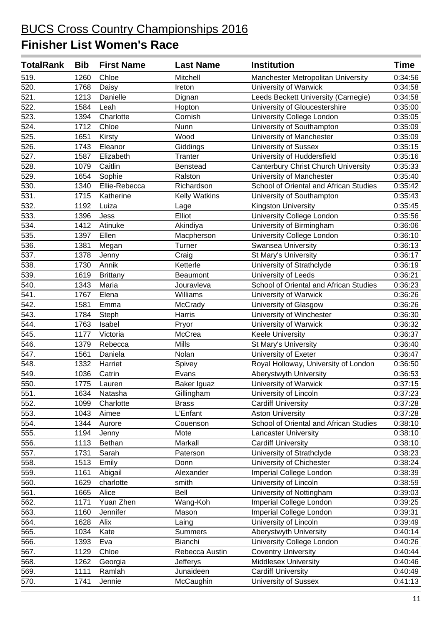| <b>TotalRank</b> | <b>Bib</b> | <b>First Name</b> | <b>Last Name</b>     | <b>Institution</b>                         | <b>Time</b> |
|------------------|------------|-------------------|----------------------|--------------------------------------------|-------------|
| 519.             | 1260       | Chloe             | Mitchell             | Manchester Metropolitan University         | 0:34:56     |
| 520.             | 1768       | Daisy             | Ireton               | University of Warwick                      | 0:34:58     |
| 521.             | 1213       | Danielle          | Dignan               | Leeds Beckett University (Carnegie)        | 0:34:58     |
| 522.             | 1584       | Leah              | Hopton               | University of Gloucestershire              | 0:35:00     |
| 523.             | 1394       | Charlotte         | Cornish              | University College London                  | 0:35:05     |
| 524.             | 1712       | Chloe             | Nunn                 | University of Southampton                  | 0:35:09     |
| 525.             | 1651       | Kirsty            | Wood                 | University of Manchester                   | 0:35:09     |
| 526.             | 1743       | Eleanor           | Giddings             | University of Sussex                       | 0:35:15     |
| 527.             | 1587       | Elizabeth         | Tranter              | University of Huddersfield                 | 0:35:16     |
| 528.             | 1079       | Caitlin           | <b>Benstead</b>      | <b>Canterbury Christ Church University</b> | 0:35:33     |
| 529.             | 1654       | Sophie            | Ralston              | University of Manchester                   | 0:35:40     |
| 530.             | 1340       | Ellie-Rebecca     | Richardson           | School of Oriental and African Studies     | 0:35:42     |
| 531.             | 1715       | Katherine         | <b>Kelly Watkins</b> | University of Southampton                  | 0:35:43     |
| 532.             | 1192       | Luiza             | Lage                 | Kingston University                        | 0:35:45     |
| 533.             | 1396       | Jess              | Elliot               | University College London                  | 0:35:56     |
| 534.             | 1412       | Atinuke           | Akindiya             | University of Birmingham                   | 0:36:06     |
| 535.             | 1397       | Ellen             | Macpherson           | University College London                  | 0:36:10     |
| 536.             | 1381       | Megan             | Turner               | <b>Swansea University</b>                  | 0:36:13     |
| 537.             | 1378       | Jenny             | Craig                | St Mary's University                       | 0:36:17     |
| 538.             | 1730       | Annik             | Ketterle             | University of Strathclyde                  | 0:36:19     |
| 539.             | 1619       | <b>Brittany</b>   | Beaumont             | University of Leeds                        | 0:36:21     |
| 540.             | 1343       | Maria             | Jouravleva           | School of Oriental and African Studies     | 0:36:23     |
| 541.             | 1767       | Elena             | Williams             | University of Warwick                      | 0:36:26     |
| 542.             | 1581       | Emma              | <b>McCrady</b>       | University of Glasgow                      | 0:36:26     |
| 543.             | 1784       | Steph             | Harris               | University of Winchester                   | 0:36:30     |
| 544.             | 1763       | Isabel            | Pryor                | University of Warwick                      | 0:36:32     |
| 545.             | 1177       | Victoria          | McCrea               | <b>Keele University</b>                    | 0:36:37     |
| 546.             | 1379       | Rebecca           | <b>Mills</b>         | St Mary's University                       | 0:36:40     |
| 547.             | 1561       | Daniela           | Nolan                | University of Exeter                       | 0:36:47     |
| 548.             | 1332       | Harriet           | Spivey               | Royal Holloway, University of London       | 0:36:50     |
| 549.             | 1036       | Catrin            | Evans                | Aberystwyth University                     | 0:36:53     |
| 550.             | 1775       | Lauren            | Baker Iguaz          | University of Warwick                      | 0:37:15     |
| 551.             | 1634       | Natasha           | Gillingham           | University of Lincoln                      | 0:37:23     |
| 552.             | 1099       | Charlotte         | <b>Brass</b>         | <b>Cardiff University</b>                  | 0:37:28     |
| 553.             | 1043       | Aimee             | L'Enfant             | <b>Aston University</b>                    | 0:37:28     |
| 554.             | 1344       | Aurore            | Couenson             | School of Oriental and African Studies     | 0:38:10     |
| 555.             | 1194       | Jenny             | Mote                 | <b>Lancaster University</b>                | 0:38:10     |
| 556.             | 1113       | Bethan            | Markall              | Cardiff University                         | 0:38:10     |
| 557.             | 1731       | Sarah             | Paterson             | University of Strathclyde                  | 0:38:23     |
| 558.             | 1513       | Emily             | Donn                 | University of Chichester                   | 0:38:24     |
| 559.             | 1161       | Abigail           | Alexander            | Imperial College London                    | 0:38:39     |
| 560.             | 1629       | charlotte         | smith                | University of Lincoln                      | 0:38:59     |
| 561.             | 1665       | Alice             | Bell                 | University of Nottingham                   | 0:39:03     |
| 562.             | 1171       | Yuan Zhen         | Wang-Koh             | Imperial College London                    | 0:39:25     |
| 563.             | 1160       | Jennifer          | Mason                | Imperial College London                    | 0:39:31     |
| 564.             | 1628       | Alix              | Laing                | University of Lincoln                      | 0:39:49     |
| 565.             | 1034       | Kate              | <b>Summers</b>       | Aberystwyth University                     | 0:40:14     |
| 566.             | 1393       | Eva               | Bianchi              | University College London                  | 0:40:26     |
| 567.             | 1129       | Chloe             | Rebecca Austin       | <b>Coventry University</b>                 | 0:40:44     |
| 568.             | 1262       | Georgia           | Jefferys             | <b>Middlesex University</b>                | 0:40:46     |
| 569.             | 1111       | Ramlah            | Junaideen            | <b>Cardiff University</b>                  | 0:40:49     |
| 570.             | 1741       | Jennie            | McCaughin            | University of Sussex                       | 0:41:13     |
|                  |            |                   |                      |                                            |             |